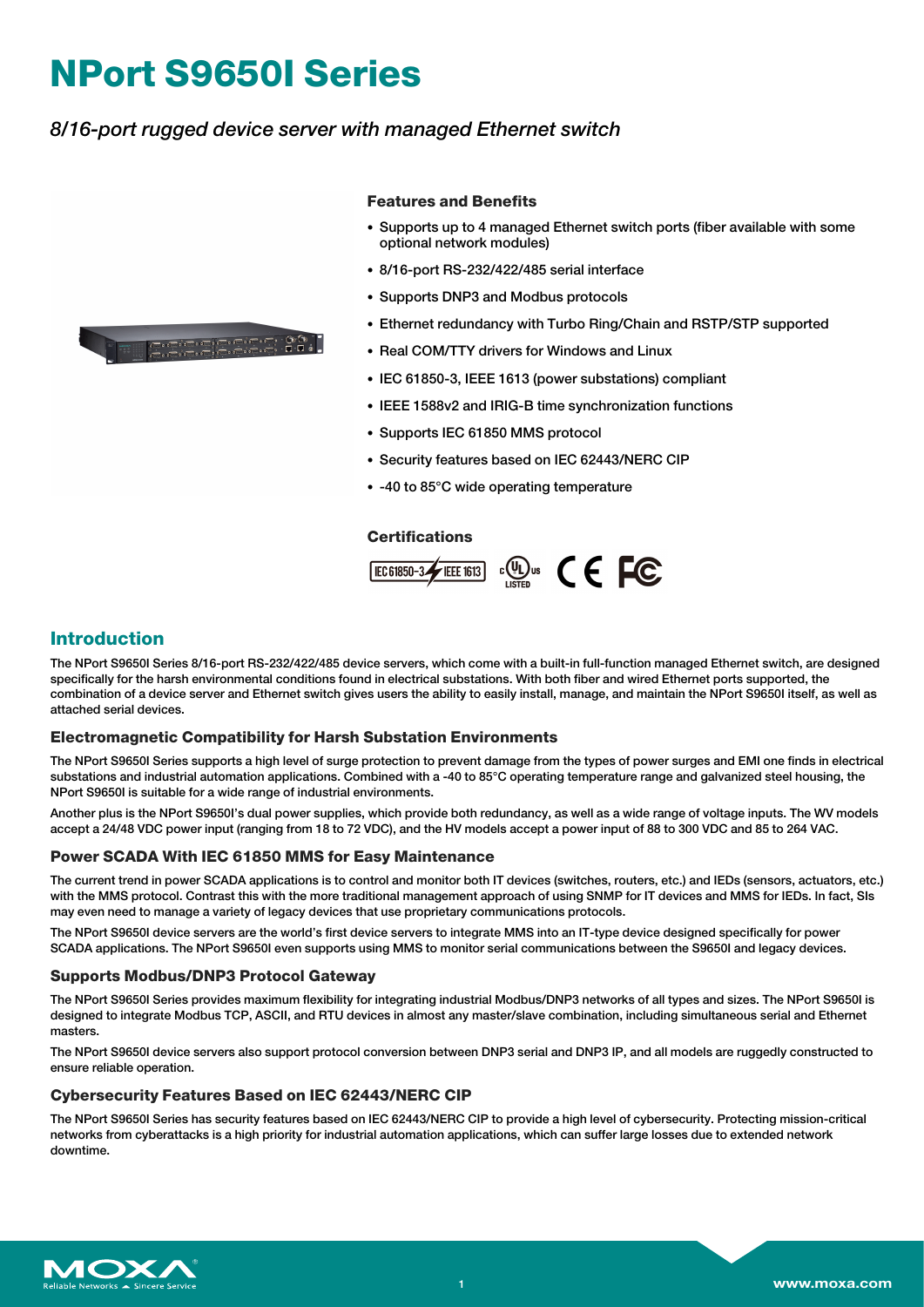# **NPort S9650I Series**

# *8/16-port rugged device server with managed Ethernet switch*



### **Features and Benefits**

- Supports up to 4 managed Ethernet switch ports (fiber available with some optional network modules)
- 8/16-port RS-232/422/485 serial interface
- Supports DNP3 and Modbus protocols
- Ethernet redundancy with Turbo Ring/Chain and RSTP/STP supported
- Real COM/TTY drivers for Windows and Linux
- IEC 61850-3, IEEE 1613 (power substations) compliant
- IEEE 1588v2 and IRIG-B time synchronization functions
- Supports IEC 61850 MMS protocol
- Security features based on IEC 62443/NERC CIP
- -40 to 85°C wide operating temperature

#### **Certifications**



# **Introduction**

The NPort S9650I Series 8/16-port RS-232/422/485 device servers, which come with a built-in full-function managed Ethernet switch, are designed specifically for the harsh environmental conditions found in electrical substations. With both fiber and wired Ethernet ports supported, the combination of a device server and Ethernet switch gives users the ability to easily install, manage, and maintain the NPort S9650I itself, as well as attached serial devices.

#### **Electromagnetic Compatibility for Harsh Substation Environments**

The NPort S9650I Series supports a high level of surge protection to prevent damage from the types of power surges and EMI one finds in electrical substations and industrial automation applications. Combined with a -40 to 85°C operating temperature range and galvanized steel housing, the NPort S9650I is suitable for a wide range of industrial environments.

Another plus is the NPort S9650I's dual power supplies, which provide both redundancy, as well as a wide range of voltage inputs. The WV models accept a 24/48 VDC power input (ranging from 18 to 72 VDC), and the HV models accept a power input of 88 to 300 VDC and 85 to 264 VAC.

### **Power SCADA With IEC 61850 MMS for Easy Maintenance**

The current trend in power SCADA applications is to control and monitor both IT devices (switches, routers, etc.) and IEDs (sensors, actuators, etc.) with the MMS protocol. Contrast this with the more traditional management approach of using SNMP for IT devices and MMS for IEDs. In fact, SIs may even need to manage a variety of legacy devices that use proprietary communications protocols.

The NPort S9650I device servers are the world's first device servers to integrate MMS into an IT-type device designed specifically for power SCADA applications. The NPort S9650I even supports using MMS to monitor serial communications between the S9650I and legacy devices.

## **Supports Modbus/DNP3 Protocol Gateway**

The NPort S9650I Series provides maximum flexibility for integrating industrial Modbus/DNP3 networks of all types and sizes. The NPort S9650I is designed to integrate Modbus TCP, ASCII, and RTU devices in almost any master/slave combination, including simultaneous serial and Ethernet masters.

The NPort S9650I device servers also support protocol conversion between DNP3 serial and DNP3 IP, and all models are ruggedly constructed to ensure reliable operation.

#### **Cybersecurity Features Based on IEC 62443/NERC CIP**

The NPort S9650I Series has security features based on IEC 62443/NERC CIP to provide a high level of cybersecurity. Protecting mission-critical networks from cyberattacks is a high priority for industrial automation applications, which can suffer large losses due to extended network downtime.

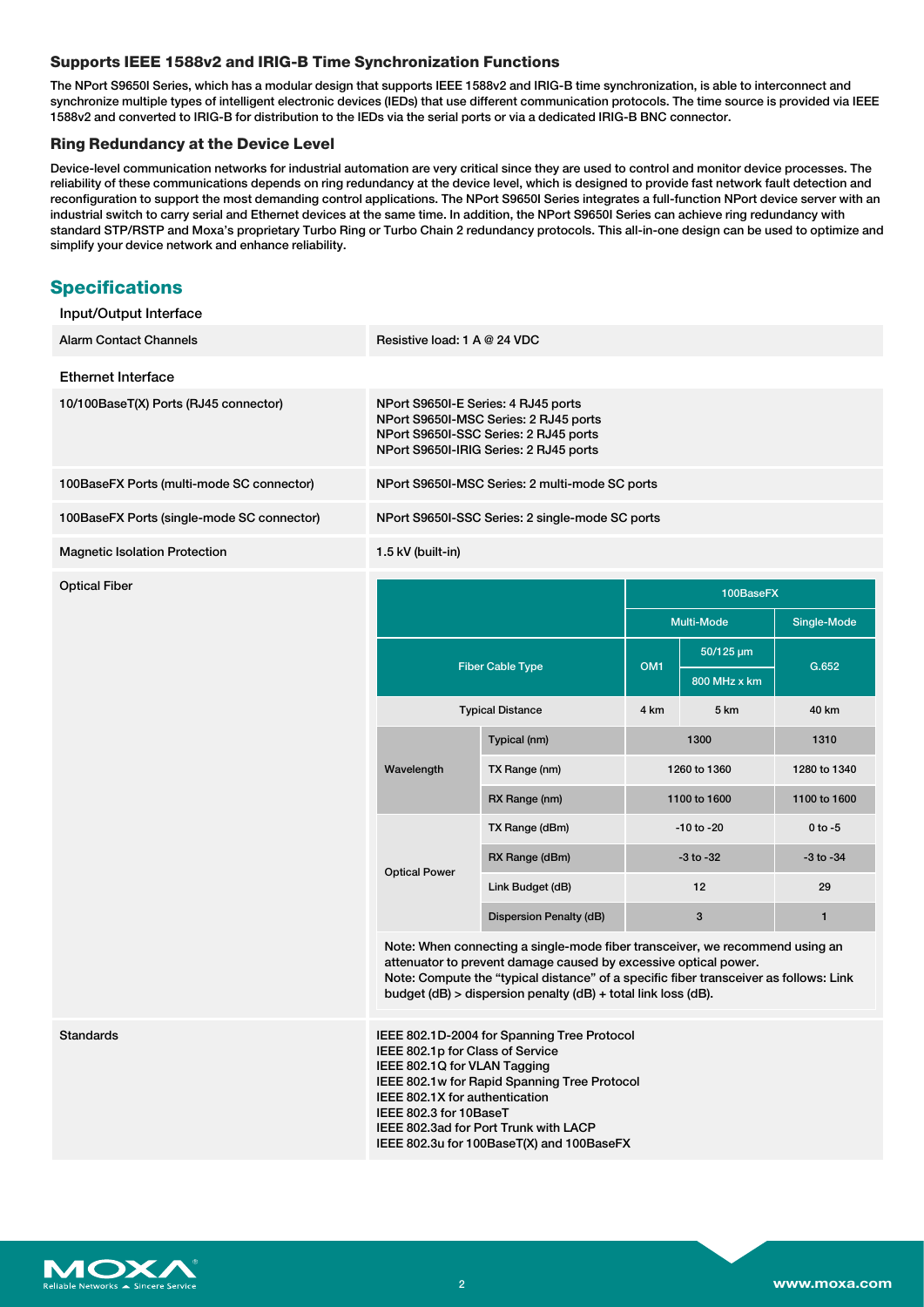## **Supports IEEE 1588v2 and IRIG-B Time Synchronization Functions**

The NPort S9650I Series, which has a modular design that supports IEEE 1588v2 and IRIG-B time synchronization, is able to interconnect and synchronize multiple types of intelligent electronic devices (IEDs) that use different communication protocols. The time source is provided via IEEE 1588v2 and converted to IRIG-B for distribution to the IEDs via the serial ports or via a dedicated IRIG-B BNC connector.

## **Ring Redundancy at the Device Level**

Device-level communication networks for industrial automation are very critical since they are used to control and monitor device processes. The reliability of these communications depends on ring redundancy at the device level, which is designed to provide fast network fault detection and reconfiguration to support the most demanding control applications. The NPort S9650I Series integrates a full-function NPort device server with an industrial switch to carry serial and Ethernet devices at the same time. In addition, the NPort S9650I Series can achieve ring redundancy with standard STP/RSTP and Moxa's proprietary Turbo Ring or Turbo Chain 2 redundancy protocols. This all-in-one design can be used to optimize and simplify your device network and enhance reliability.

# **Specifications**

Input/Output Interface

| <b>Alarm Contact Channels</b>              | Resistive load: 1 A @ 24 VDC                                                                                                                                                                                                                                                                              |                         |                 |                           |               |
|--------------------------------------------|-----------------------------------------------------------------------------------------------------------------------------------------------------------------------------------------------------------------------------------------------------------------------------------------------------------|-------------------------|-----------------|---------------------------|---------------|
| <b>Ethernet Interface</b>                  |                                                                                                                                                                                                                                                                                                           |                         |                 |                           |               |
| 10/100BaseT(X) Ports (RJ45 connector)      | NPort S9650I-E Series: 4 RJ45 ports<br>NPort S9650I-MSC Series: 2 RJ45 ports<br>NPort S9650I-SSC Series: 2 RJ45 ports<br>NPort S9650I-IRIG Series: 2 RJ45 ports                                                                                                                                           |                         |                 |                           |               |
| 100BaseFX Ports (multi-mode SC connector)  | NPort S9650I-MSC Series: 2 multi-mode SC ports                                                                                                                                                                                                                                                            |                         |                 |                           |               |
| 100BaseFX Ports (single-mode SC connector) | NPort S9650I-SSC Series: 2 single-mode SC ports                                                                                                                                                                                                                                                           |                         |                 |                           |               |
| <b>Magnetic Isolation Protection</b>       | 1.5 kV (built-in)                                                                                                                                                                                                                                                                                         |                         |                 |                           |               |
| <b>Optical Fiber</b>                       |                                                                                                                                                                                                                                                                                                           |                         |                 | 100BaseFX                 |               |
|                                            |                                                                                                                                                                                                                                                                                                           |                         | Multi-Mode      |                           | Single-Mode   |
|                                            | <b>Fiber Cable Type</b>                                                                                                                                                                                                                                                                                   |                         | OM <sub>1</sub> | 50/125 µm<br>800 MHz x km | G.652         |
|                                            | <b>Typical Distance</b>                                                                                                                                                                                                                                                                                   |                         | 4 km            | 5 km                      | 40 km         |
|                                            | Wavelength                                                                                                                                                                                                                                                                                                | Typical (nm)            |                 | 1300                      | 1310          |
|                                            |                                                                                                                                                                                                                                                                                                           | TX Range (nm)           |                 | 1260 to 1360              | 1280 to 1340  |
|                                            |                                                                                                                                                                                                                                                                                                           | RX Range (nm)           | 1100 to 1600    |                           | 1100 to 1600  |
|                                            | <b>Optical Power</b>                                                                                                                                                                                                                                                                                      | TX Range (dBm)          | $-10$ to $-20$  |                           | $0$ to $-5$   |
|                                            |                                                                                                                                                                                                                                                                                                           | RX Range (dBm)          | $-3$ to $-32$   |                           | $-3$ to $-34$ |
|                                            |                                                                                                                                                                                                                                                                                                           | Link Budget (dB)        | 12              |                           | 29            |
|                                            |                                                                                                                                                                                                                                                                                                           | Dispersion Penalty (dB) |                 | $\mathbf{3}$              | 1             |
|                                            | Note: When connecting a single-mode fiber transceiver, we recommend using an<br>attenuator to prevent damage caused by excessive optical power.<br>Note: Compute the "typical distance" of a specific fiber transceiver as follows: Link<br>budget (dB) > dispersion penalty (dB) + total link loss (dB). |                         |                 |                           |               |
| <b>Standards</b>                           | IEEE 802.1D-2004 for Spanning Tree Protocol<br>IEEE 802.1p for Class of Service<br>IEEE 802.1Q for VLAN Tagging<br>IEEE 802.1w for Rapid Spanning Tree Protocol<br>IEEE 802.1X for authentication<br>IEEE 802.3 for 10BaseT                                                                               |                         |                 |                           |               |

N **ANOX**  IEEE 802.3ad for Port Trunk with LACP IEEE 802.3u for 100BaseT(X) and 100BaseFX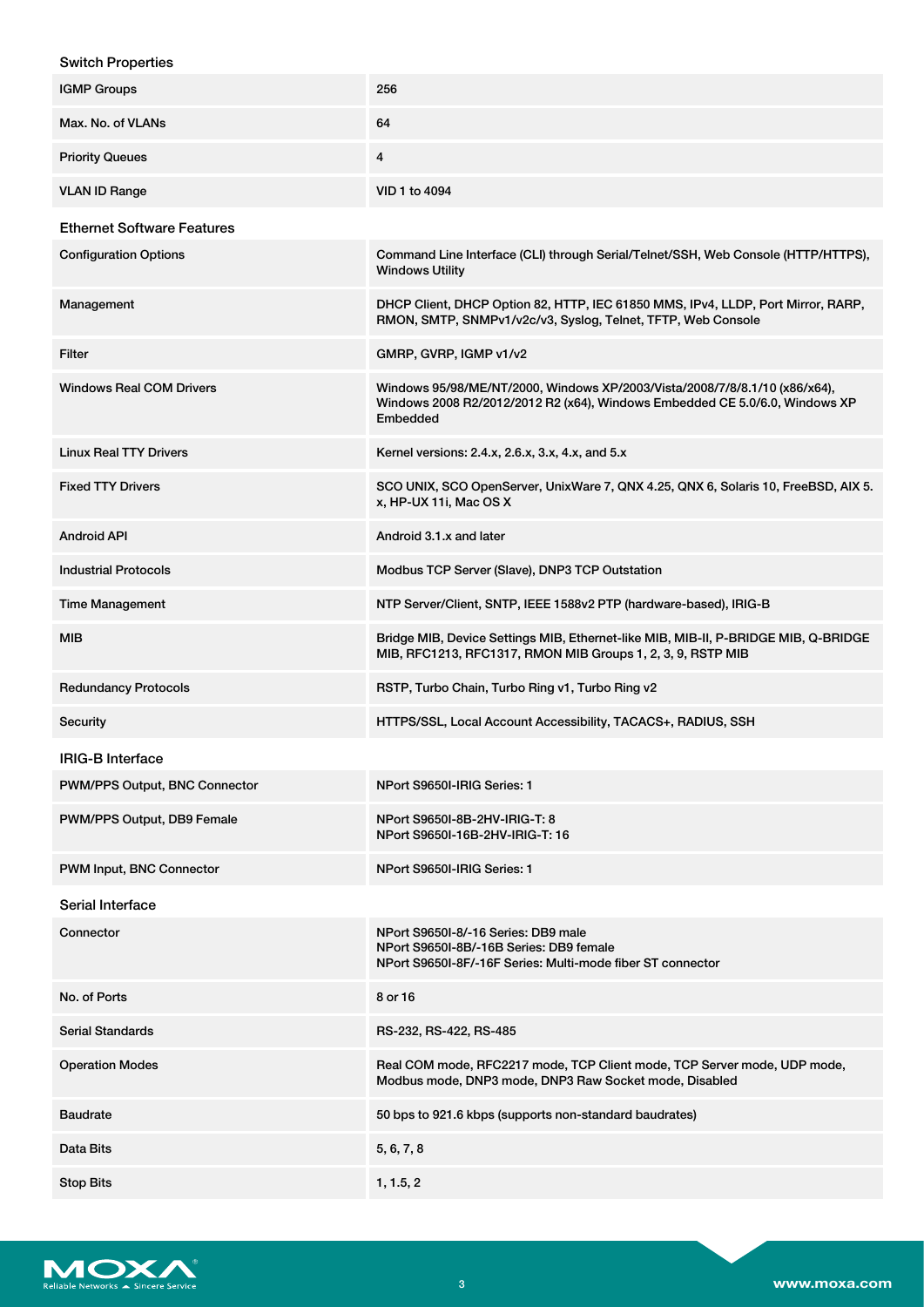## Switch Properties

| <b>IGMP Groups</b>                | 256                                                                                                                                                                   |
|-----------------------------------|-----------------------------------------------------------------------------------------------------------------------------------------------------------------------|
| Max. No. of VLANs                 | 64                                                                                                                                                                    |
| <b>Priority Queues</b>            | 4                                                                                                                                                                     |
| <b>VLAN ID Range</b>              | VID 1 to 4094                                                                                                                                                         |
| <b>Ethernet Software Features</b> |                                                                                                                                                                       |
| <b>Configuration Options</b>      | Command Line Interface (CLI) through Serial/Telnet/SSH, Web Console (HTTP/HTTPS),<br><b>Windows Utility</b>                                                           |
| Management                        | DHCP Client, DHCP Option 82, HTTP, IEC 61850 MMS, IPv4, LLDP, Port Mirror, RARP,<br>RMON, SMTP, SNMPv1/v2c/v3, Syslog, Telnet, TFTP, Web Console                      |
| Filter                            | GMRP, GVRP, IGMP v1/v2                                                                                                                                                |
| <b>Windows Real COM Drivers</b>   | Windows 95/98/ME/NT/2000, Windows XP/2003/Vista/2008/7/8/8.1/10 (x86/x64),<br>Windows 2008 R2/2012/2012 R2 (x64), Windows Embedded CE 5.0/6.0, Windows XP<br>Embedded |
| <b>Linux Real TTY Drivers</b>     | Kernel versions: 2.4.x, 2.6.x, 3.x, 4.x, and 5.x                                                                                                                      |
| <b>Fixed TTY Drivers</b>          | SCO UNIX, SCO OpenServer, UnixWare 7, QNX 4.25, QNX 6, Solaris 10, FreeBSD, AIX 5.<br>x, HP-UX 11i, Mac OS X                                                          |
| <b>Android API</b>                | Android 3.1.x and later                                                                                                                                               |
| <b>Industrial Protocols</b>       | Modbus TCP Server (Slave), DNP3 TCP Outstation                                                                                                                        |
| <b>Time Management</b>            | NTP Server/Client, SNTP, IEEE 1588v2 PTP (hardware-based), IRIG-B                                                                                                     |
| MIB                               | Bridge MIB, Device Settings MIB, Ethernet-like MIB, MIB-II, P-BRIDGE MIB, Q-BRIDGE<br>MIB, RFC1213, RFC1317, RMON MIB Groups 1, 2, 3, 9, RSTP MIB                     |
| <b>Redundancy Protocols</b>       | RSTP, Turbo Chain, Turbo Ring v1, Turbo Ring v2                                                                                                                       |
| Security                          | HTTPS/SSL, Local Account Accessibility, TACACS+, RADIUS, SSH                                                                                                          |
| <b>IRIG-B Interface</b>           |                                                                                                                                                                       |
| PWM/PPS Output, BNC Connector     | NPort S9650I-IRIG Series: 1                                                                                                                                           |
| PWM/PPS Output, DB9 Female        | NPort S9650I-8B-2HV-IRIG-T: 8<br>NPort S9650I-16B-2HV-IRIG-T: 16                                                                                                      |
| PWM Input, BNC Connector          | NPort S9650I-IRIG Series: 1                                                                                                                                           |
| Serial Interface                  |                                                                                                                                                                       |
| Connector                         | NPort S9650I-8/-16 Series: DB9 male<br>NPort S9650I-8B/-16B Series: DB9 female<br>NPort S9650I-8F/-16F Series: Multi-mode fiber ST connector                          |
| No. of Ports                      | 8 or 16                                                                                                                                                               |
| Serial Standards                  | RS-232, RS-422, RS-485                                                                                                                                                |
| <b>Operation Modes</b>            | Real COM mode, RFC2217 mode, TCP Client mode, TCP Server mode, UDP mode,<br>Modbus mode, DNP3 mode, DNP3 Raw Socket mode, Disabled                                    |
| <b>Baudrate</b>                   | 50 bps to 921.6 kbps (supports non-standard baudrates)                                                                                                                |
| Data Bits                         | 5, 6, 7, 8                                                                                                                                                            |
| <b>Stop Bits</b>                  | 1, 1.5, 2                                                                                                                                                             |

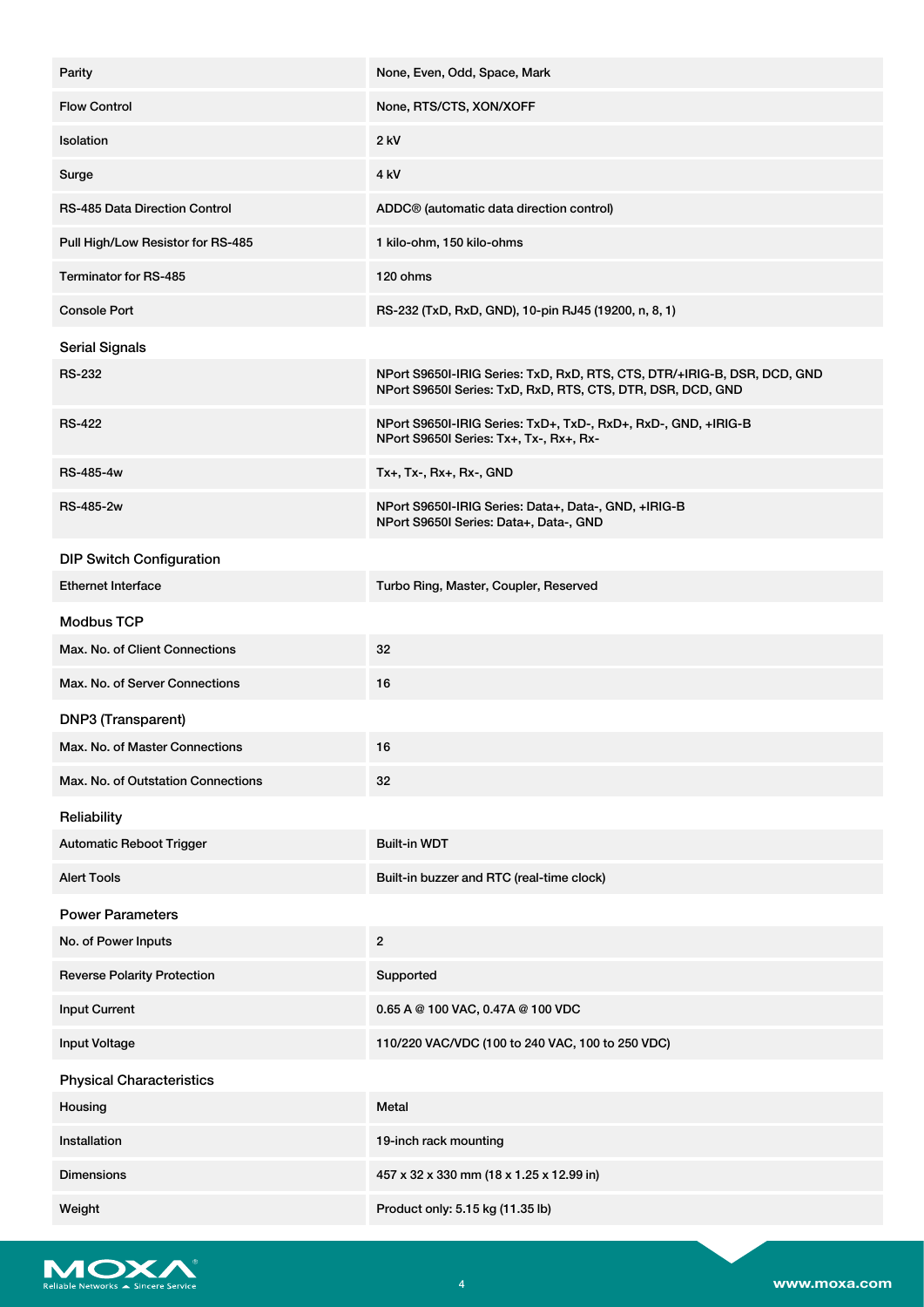| Parity                               | None, Even, Odd, Space, Mark                                                                                                            |
|--------------------------------------|-----------------------------------------------------------------------------------------------------------------------------------------|
| <b>Flow Control</b>                  | None, RTS/CTS, XON/XOFF                                                                                                                 |
| Isolation                            | $2$ kV                                                                                                                                  |
| Surge                                | 4 <sub>kV</sub>                                                                                                                         |
| <b>RS-485 Data Direction Control</b> | ADDC <sup>®</sup> (automatic data direction control)                                                                                    |
| Pull High/Low Resistor for RS-485    | 1 kilo-ohm, 150 kilo-ohms                                                                                                               |
| <b>Terminator for RS-485</b>         | 120 ohms                                                                                                                                |
| <b>Console Port</b>                  | RS-232 (TxD, RxD, GND), 10-pin RJ45 (19200, n, 8, 1)                                                                                    |
| <b>Serial Signals</b>                |                                                                                                                                         |
| <b>RS-232</b>                        | NPort S9650I-IRIG Series: TxD, RxD, RTS, CTS, DTR/+IRIG-B, DSR, DCD, GND<br>NPort S9650I Series: TxD, RxD, RTS, CTS, DTR, DSR, DCD, GND |
| <b>RS-422</b>                        | NPort S9650I-IRIG Series: TxD+, TxD-, RxD+, RxD-, GND, +IRIG-B<br>NPort S9650I Series: Tx+, Tx-, Rx+, Rx-                               |
| <b>RS-485-4w</b>                     | Tx+, Tx-, Rx+, Rx-, GND                                                                                                                 |
| <b>RS-485-2w</b>                     | NPort S9650I-IRIG Series: Data+, Data-, GND, +IRIG-B<br>NPort S9650I Series: Data+, Data-, GND                                          |
| <b>DIP Switch Configuration</b>      |                                                                                                                                         |
| <b>Ethernet Interface</b>            | Turbo Ring, Master, Coupler, Reserved                                                                                                   |
| <b>Modbus TCP</b>                    |                                                                                                                                         |
| Max. No. of Client Connections       | 32                                                                                                                                      |
| Max. No. of Server Connections       | 16                                                                                                                                      |
| DNP3 (Transparent)                   |                                                                                                                                         |
| Max. No. of Master Connections       | 16                                                                                                                                      |
| Max. No. of Outstation Connections   | 32                                                                                                                                      |
| Reliability                          |                                                                                                                                         |
| <b>Automatic Reboot Trigger</b>      | <b>Built-in WDT</b>                                                                                                                     |
| <b>Alert Tools</b>                   | Built-in buzzer and RTC (real-time clock)                                                                                               |
| <b>Power Parameters</b>              |                                                                                                                                         |
| No. of Power Inputs                  | $\overline{2}$                                                                                                                          |
| <b>Reverse Polarity Protection</b>   | Supported                                                                                                                               |
| <b>Input Current</b>                 | 0.65 A @ 100 VAC, 0.47A @ 100 VDC                                                                                                       |
| <b>Input Voltage</b>                 | 110/220 VAC/VDC (100 to 240 VAC, 100 to 250 VDC)                                                                                        |
| <b>Physical Characteristics</b>      |                                                                                                                                         |
| Housing                              | Metal                                                                                                                                   |
| Installation                         | 19-inch rack mounting                                                                                                                   |
| <b>Dimensions</b>                    | 457 x 32 x 330 mm (18 x 1.25 x 12.99 in)                                                                                                |
| Weight                               | Product only: 5.15 kg (11.35 lb)                                                                                                        |

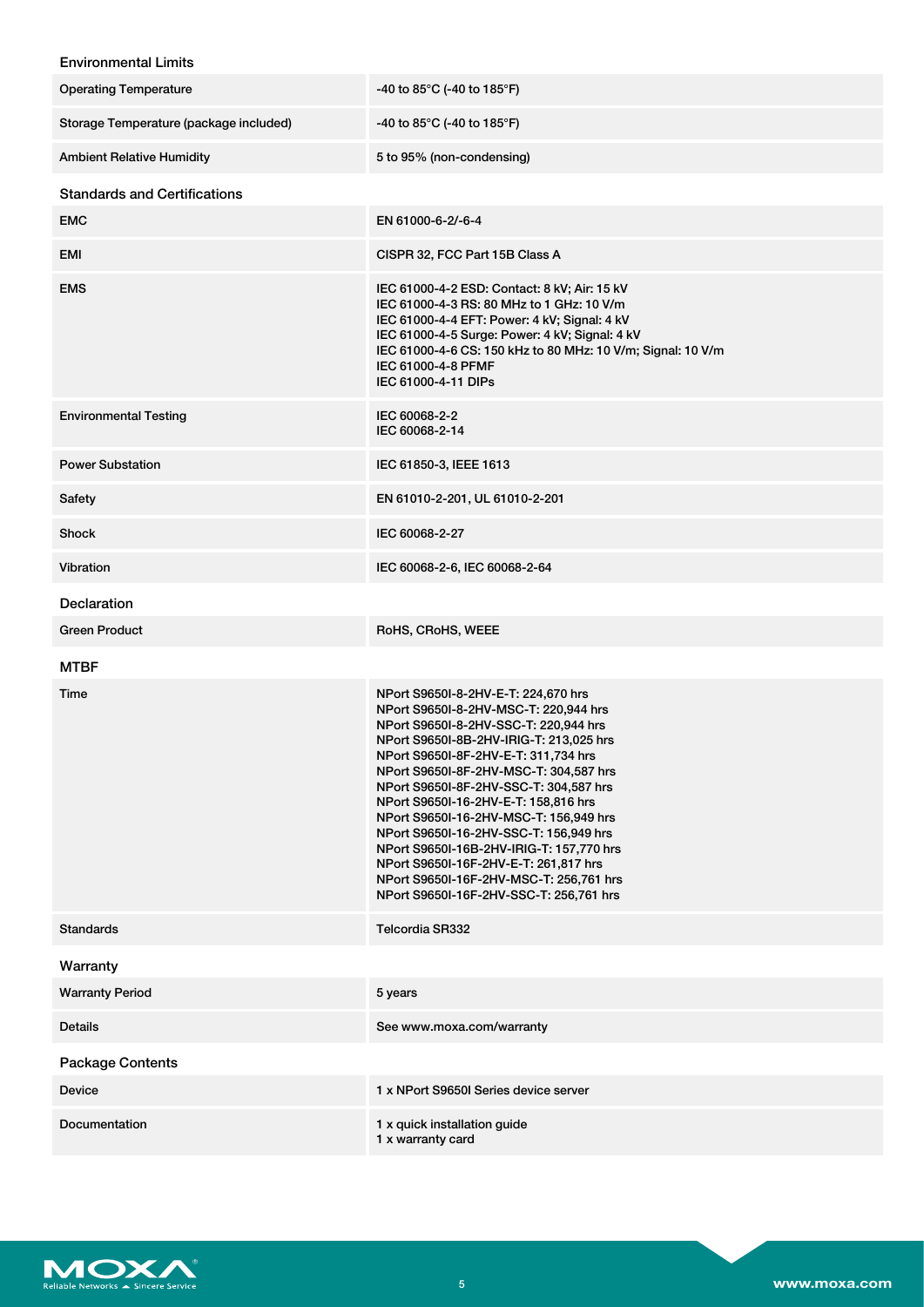# Environmental Limits

| <b>Operating Temperature</b>           | -40 to 85°C (-40 to 185°F)                                                                                                                                                                                                                                                                                                                                                                                                                                                                                                                                                                          |
|----------------------------------------|-----------------------------------------------------------------------------------------------------------------------------------------------------------------------------------------------------------------------------------------------------------------------------------------------------------------------------------------------------------------------------------------------------------------------------------------------------------------------------------------------------------------------------------------------------------------------------------------------------|
| Storage Temperature (package included) | -40 to 85°C (-40 to 185°F)                                                                                                                                                                                                                                                                                                                                                                                                                                                                                                                                                                          |
| <b>Ambient Relative Humidity</b>       | 5 to 95% (non-condensing)                                                                                                                                                                                                                                                                                                                                                                                                                                                                                                                                                                           |
| <b>Standards and Certifications</b>    |                                                                                                                                                                                                                                                                                                                                                                                                                                                                                                                                                                                                     |
| <b>EMC</b>                             | EN 61000-6-2/-6-4                                                                                                                                                                                                                                                                                                                                                                                                                                                                                                                                                                                   |
| EMI                                    | CISPR 32, FCC Part 15B Class A                                                                                                                                                                                                                                                                                                                                                                                                                                                                                                                                                                      |
| <b>EMS</b>                             | IEC 61000-4-2 ESD: Contact: 8 kV; Air: 15 kV<br>IEC 61000-4-3 RS: 80 MHz to 1 GHz: 10 V/m<br>IEC 61000-4-4 EFT: Power: 4 kV; Signal: 4 kV<br>IEC 61000-4-5 Surge: Power: 4 kV; Signal: 4 kV<br>IEC 61000-4-6 CS: 150 kHz to 80 MHz: 10 V/m; Signal: 10 V/m<br>IEC 61000-4-8 PFMF<br>IEC 61000-4-11 DIPs                                                                                                                                                                                                                                                                                             |
| <b>Environmental Testing</b>           | IEC 60068-2-2<br>IEC 60068-2-14                                                                                                                                                                                                                                                                                                                                                                                                                                                                                                                                                                     |
| <b>Power Substation</b>                | IEC 61850-3, IEEE 1613                                                                                                                                                                                                                                                                                                                                                                                                                                                                                                                                                                              |
| Safety                                 | EN 61010-2-201, UL 61010-2-201                                                                                                                                                                                                                                                                                                                                                                                                                                                                                                                                                                      |
| Shock                                  | IEC 60068-2-27                                                                                                                                                                                                                                                                                                                                                                                                                                                                                                                                                                                      |
| Vibration                              | IEC 60068-2-6, IEC 60068-2-64                                                                                                                                                                                                                                                                                                                                                                                                                                                                                                                                                                       |
| <b>Declaration</b>                     |                                                                                                                                                                                                                                                                                                                                                                                                                                                                                                                                                                                                     |
| <b>Green Product</b>                   | RoHS, CRoHS, WEEE                                                                                                                                                                                                                                                                                                                                                                                                                                                                                                                                                                                   |
| <b>MTBF</b>                            |                                                                                                                                                                                                                                                                                                                                                                                                                                                                                                                                                                                                     |
| Time                                   | NPort S9650I-8-2HV-E-T: 224,670 hrs<br>NPort S9650I-8-2HV-MSC-T: 220,944 hrs<br>NPort S9650I-8-2HV-SSC-T: 220,944 hrs<br>NPort S9650I-8B-2HV-IRIG-T: 213,025 hrs<br>NPort S9650I-8F-2HV-E-T: 311,734 hrs<br>NPort S9650I-8F-2HV-MSC-T: 304,587 hrs<br>NPort S9650I-8F-2HV-SSC-T: 304,587 hrs<br>NPort S9650I-16-2HV-E-T: 158,816 hrs<br>NPort S9650I-16-2HV-MSC-T: 156,949 hrs<br>NPort S9650I-16-2HV-SSC-T: 156,949 hrs<br>NPort S9650I-16B-2HV-IRIG-T: 157,770 hrs<br>NPort S9650I-16F-2HV-E-T: 261,817 hrs<br>NPort S9650I-16F-2HV-MSC-T: 256,761 hrs<br>NPort S9650I-16F-2HV-SSC-T: 256,761 hrs |
| <b>Standards</b>                       | Telcordia SR332                                                                                                                                                                                                                                                                                                                                                                                                                                                                                                                                                                                     |
| Warranty                               |                                                                                                                                                                                                                                                                                                                                                                                                                                                                                                                                                                                                     |
| <b>Warranty Period</b>                 | 5 years                                                                                                                                                                                                                                                                                                                                                                                                                                                                                                                                                                                             |
| <b>Details</b>                         | See www.moxa.com/warranty                                                                                                                                                                                                                                                                                                                                                                                                                                                                                                                                                                           |
| <b>Package Contents</b>                |                                                                                                                                                                                                                                                                                                                                                                                                                                                                                                                                                                                                     |
| <b>Device</b>                          | 1 x NPort S9650I Series device server                                                                                                                                                                                                                                                                                                                                                                                                                                                                                                                                                               |
| Documentation                          | 1 x quick installation guide<br>1 x warranty card                                                                                                                                                                                                                                                                                                                                                                                                                                                                                                                                                   |

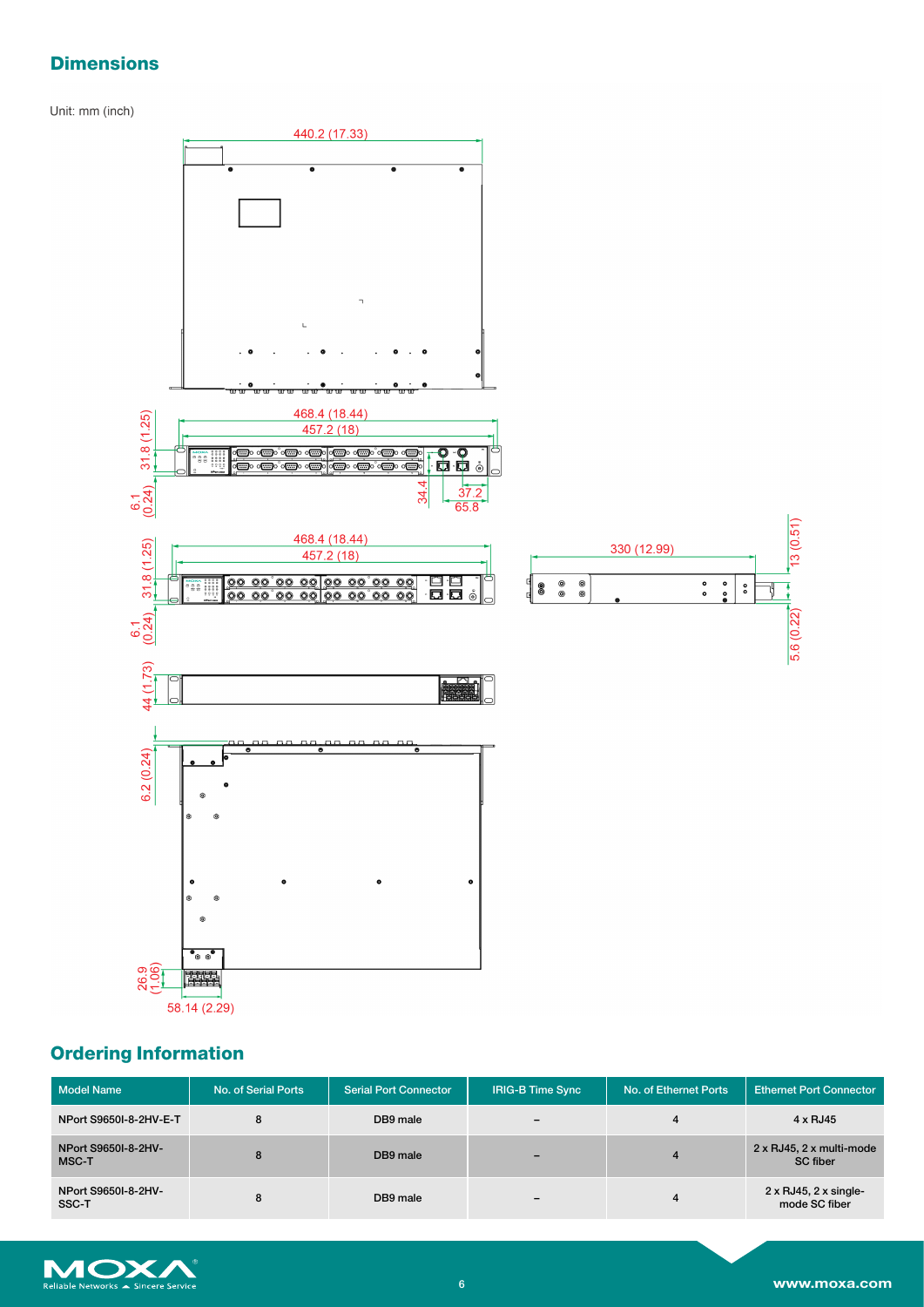# **Dimensions**

Unit: mm (inch)



# **Ordering Information**

| <b>Model Name</b>            | No. of Serial Ports | <b>Serial Port Connector</b> | <b>IRIG-B Time Sync</b>      | No. of Ethernet Ports | <b>Ethernet Port Connector</b>                              |
|------------------------------|---------------------|------------------------------|------------------------------|-----------------------|-------------------------------------------------------------|
| NPort S9650I-8-2HV-E-T       | 8                   | DB9 male                     | $\qquad \qquad \blacksquare$ |                       | 4 x RJ45                                                    |
| NPort S9650I-8-2HV-<br>MSC-T | 8                   | DB9 male                     |                              |                       | $2 \times RJ45$ , $2 \times multi$ -mode<br><b>SC</b> fiber |
| NPort S9650I-8-2HV-<br>SSC-T | 8                   | DB9 male                     | $\overline{\phantom{0}}$     |                       | $2 \times$ RJ45, $2 \times$ single-<br>mode SC fiber        |